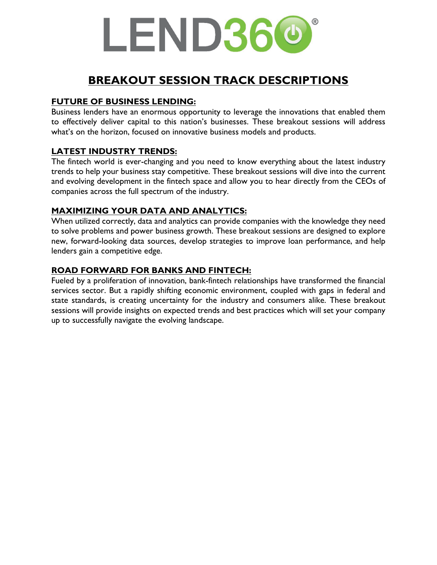# LEND360

### **BREAKOUT SESSION TRACK DESCRIPTIONS**

#### **FUTURE OF BUSINESS LENDING:**

Business lenders have an enormous opportunity to leverage the innovations that enabled them to effectively deliver capital to this nation's businesses. These breakout sessions will address what's on the horizon, focused on innovative business models and products.

#### **LATEST INDUSTRY TRENDS:**

The fintech world is ever-changing and you need to know everything about the latest industry trends to help your business stay competitive. These breakout sessions will dive into the current and evolving development in the fintech space and allow you to hear directly from the CEOs of companies across the full spectrum of the industry.

#### **MAXIMIZING YOUR DATA AND ANALYTICS:**

When utilized correctly, data and analytics can provide companies with the knowledge they need to solve problems and power business growth. These breakout sessions are designed to explore new, forward-looking data sources, develop strategies to improve loan performance, and help lenders gain a competitive edge.

#### **ROAD FORWARD FOR BANKS AND FINTECH:**

Fueled by a proliferation of innovation, bank-fintech relationships have transformed the financial services sector. But a rapidly shifting economic environment, coupled with gaps in federal and state standards, is creating uncertainty for the industry and consumers alike. These breakout sessions will provide insights on expected trends and best practices which will set your company up to successfully navigate the evolving landscape.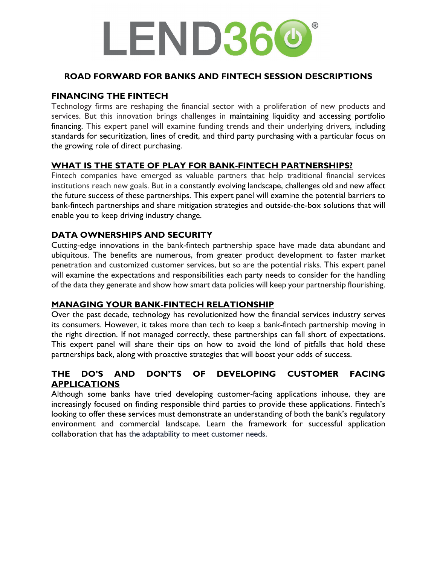## LEND360

#### **ROAD FORWARD FOR BANKS AND FINTECH SESSION DESCRIPTIONS**

#### **FINANCING THE FINTECH**

Technology firms are reshaping the financial sector with a proliferation of new products and services. But this innovation brings challenges in maintaining liquidity and accessing portfolio financing. This expert panel will examine funding trends and their underlying drivers*,* including standards for securitization, lines of credit, and third party purchasing with a particular focus on the growing role of direct purchasing.

#### **WHAT IS THE STATE OF PLAY FOR BANK-FINTECH PARTNERSHIPS?**

Fintech companies have emerged as valuable partners that help traditional financial services institutions reach new goals. But in a constantly evolving landscape, challenges old and new affect the future success of these partnerships. This expert panel will examine the potential barriers to bank-fintech partnerships and share mitigation strategies and outside-the-box solutions that will enable you to keep driving industry change.

#### **DATA OWNERSHIPS AND SECURITY**

Cutting-edge innovations in the bank-fintech partnership space have made data abundant and ubiquitous. The benefits are numerous, from greater product development to faster market penetration and customized customer services, but so are the potential risks. This expert panel will examine the expectations and responsibilities each party needs to consider for the handling of the data they generate and show how smart data policies will keep your partnership flourishing.

#### **MANAGING YOUR BANK-FINTECH RELATIONSHIP**

Over the past decade, technology has revolutionized how the financial services industry serves its consumers. However, it takes more than tech to keep a bank-fintech partnership moving in the right direction. If not managed correctly, these partnerships can fall short of expectations. This expert panel will share their tips on how to avoid the kind of pitfalls that hold these partnerships back, along with proactive strategies that will boost your odds of success.

#### **THE DO'S AND DON'TS OF DEVELOPING CUSTOMER FACING APPLICATIONS**

Although some banks have tried developing customer-facing applications inhouse, they are increasingly focused on finding responsible third parties to provide these applications. Fintech's looking to offer these services must demonstrate an understanding of both the bank's regulatory environment and commercial landscape. Learn the framework for successful application collaboration that has the adaptability to meet customer needs.